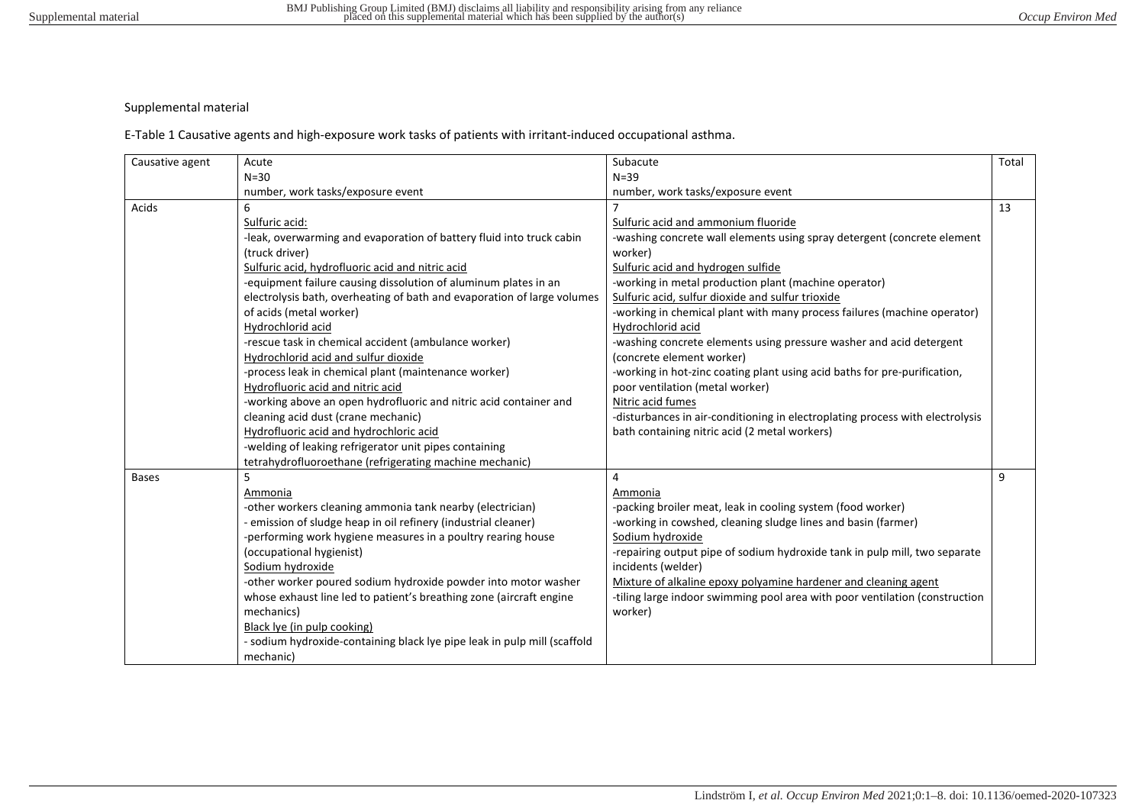## Supplemental material

E-Table 1 Causative agents and high-exposure work tasks of patients with irritant-induced occupational asthma.

| Causative agent | Acute                                                                    | Subacute                                                                      | Total |
|-----------------|--------------------------------------------------------------------------|-------------------------------------------------------------------------------|-------|
|                 | $N=30$                                                                   | $N = 39$                                                                      |       |
|                 | number, work tasks/exposure event                                        | number, work tasks/exposure event                                             |       |
| Acids           | 6                                                                        |                                                                               | 13    |
|                 | Sulfuric acid:                                                           | Sulfuric acid and ammonium fluoride                                           |       |
|                 | -leak, overwarming and evaporation of battery fluid into truck cabin     | -washing concrete wall elements using spray detergent (concrete element       |       |
|                 | (truck driver)                                                           | worker)                                                                       |       |
|                 | Sulfuric acid, hydrofluoric acid and nitric acid                         | Sulfuric acid and hydrogen sulfide                                            |       |
|                 | -equipment failure causing dissolution of aluminum plates in an          | -working in metal production plant (machine operator)                         |       |
|                 | electrolysis bath, overheating of bath and evaporation of large volumes  | Sulfuric acid, sulfur dioxide and sulfur trioxide                             |       |
|                 | of acids (metal worker)                                                  | -working in chemical plant with many process failures (machine operator)      |       |
|                 | Hydrochlorid acid                                                        | Hydrochlorid acid                                                             |       |
|                 | -rescue task in chemical accident (ambulance worker)                     | -washing concrete elements using pressure washer and acid detergent           |       |
|                 | Hydrochlorid acid and sulfur dioxide                                     | (concrete element worker)                                                     |       |
|                 | -process leak in chemical plant (maintenance worker)                     | -working in hot-zinc coating plant using acid baths for pre-purification,     |       |
|                 | Hydrofluoric acid and nitric acid                                        | poor ventilation (metal worker)                                               |       |
|                 | -working above an open hydrofluoric and nitric acid container and        | Nitric acid fumes                                                             |       |
|                 | cleaning acid dust (crane mechanic)                                      | -disturbances in air-conditioning in electroplating process with electrolysis |       |
|                 | Hydrofluoric acid and hydrochloric acid                                  | bath containing nitric acid (2 metal workers)                                 |       |
|                 | -welding of leaking refrigerator unit pipes containing                   |                                                                               |       |
|                 | tetrahydrofluoroethane (refrigerating machine mechanic)                  |                                                                               |       |
| <b>Bases</b>    | 5                                                                        | 4                                                                             | 9     |
|                 | Ammonia                                                                  | Ammonia                                                                       |       |
|                 | -other workers cleaning ammonia tank nearby (electrician)                | -packing broiler meat, leak in cooling system (food worker)                   |       |
|                 | - emission of sludge heap in oil refinery (industrial cleaner)           | -working in cowshed, cleaning sludge lines and basin (farmer)                 |       |
|                 | -performing work hygiene measures in a poultry rearing house             | Sodium hydroxide                                                              |       |
|                 | (occupational hygienist)                                                 | -repairing output pipe of sodium hydroxide tank in pulp mill, two separate    |       |
|                 | Sodium hydroxide                                                         | incidents (welder)                                                            |       |
|                 | -other worker poured sodium hydroxide powder into motor washer           | Mixture of alkaline epoxy polyamine hardener and cleaning agent               |       |
|                 | whose exhaust line led to patient's breathing zone (aircraft engine      | -tiling large indoor swimming pool area with poor ventilation (construction   |       |
|                 | mechanics)                                                               | worker)                                                                       |       |
|                 | Black lye (in pulp cooking)                                              |                                                                               |       |
|                 | - sodium hydroxide-containing black lye pipe leak in pulp mill (scaffold |                                                                               |       |
|                 | mechanic)                                                                |                                                                               |       |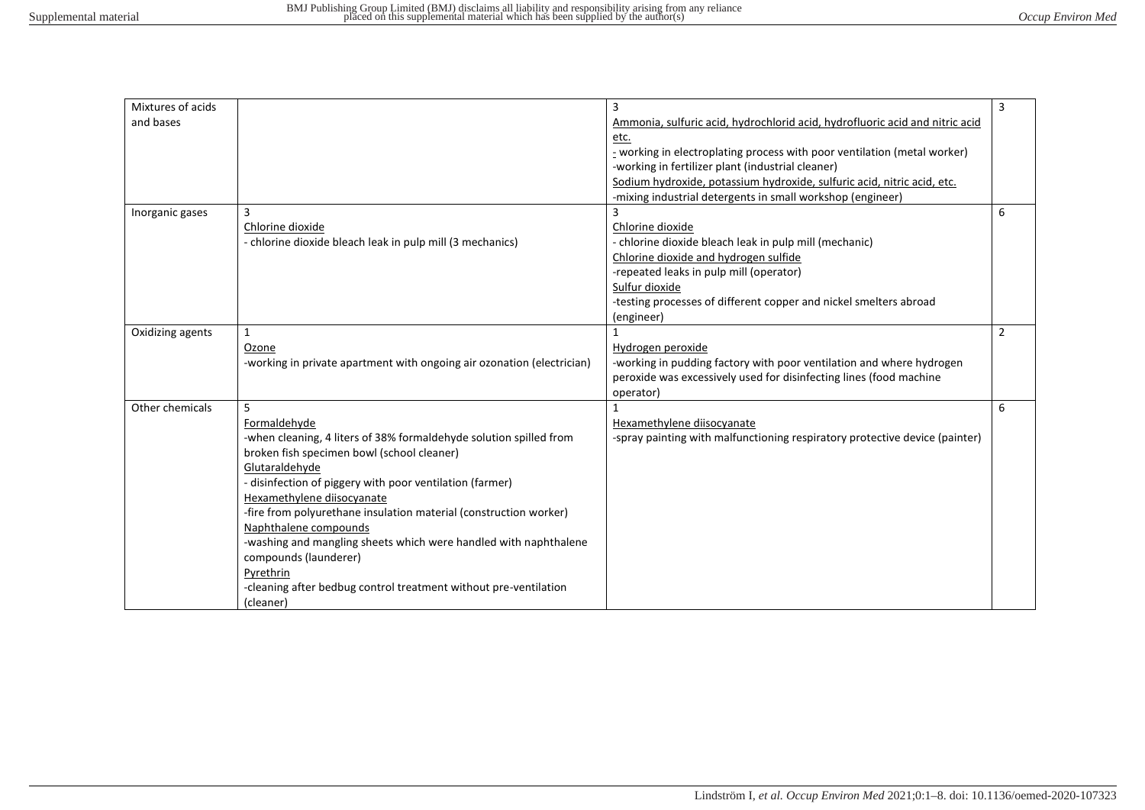| Mixtures of acids |                                                                        | 3                                                                            | 3 |
|-------------------|------------------------------------------------------------------------|------------------------------------------------------------------------------|---|
| and bases         |                                                                        | Ammonia, sulfuric acid, hydrochlorid acid, hydrofluoric acid and nitric acid |   |
|                   |                                                                        | etc.                                                                         |   |
|                   |                                                                        | - working in electroplating process with poor ventilation (metal worker)     |   |
|                   |                                                                        | -working in fertilizer plant (industrial cleaner)                            |   |
|                   |                                                                        | Sodium hydroxide, potassium hydroxide, sulfuric acid, nitric acid, etc.      |   |
|                   |                                                                        | -mixing industrial detergents in small workshop (engineer)                   |   |
| Inorganic gases   | $\overline{3}$                                                         |                                                                              | 6 |
|                   | Chlorine dioxide                                                       | Chlorine dioxide                                                             |   |
|                   | - chlorine dioxide bleach leak in pulp mill (3 mechanics)              | - chlorine dioxide bleach leak in pulp mill (mechanic)                       |   |
|                   |                                                                        | Chlorine dioxide and hydrogen sulfide                                        |   |
|                   |                                                                        | -repeated leaks in pulp mill (operator)                                      |   |
|                   |                                                                        | Sulfur dioxide                                                               |   |
|                   |                                                                        | -testing processes of different copper and nickel smelters abroad            |   |
|                   |                                                                        |                                                                              |   |
|                   |                                                                        | (engineer)                                                                   |   |
| Oxidizing agents  | 1                                                                      |                                                                              | 2 |
|                   | Ozone                                                                  | Hydrogen peroxide                                                            |   |
|                   | -working in private apartment with ongoing air ozonation (electrician) | -working in pudding factory with poor ventilation and where hydrogen         |   |
|                   |                                                                        | peroxide was excessively used for disinfecting lines (food machine           |   |
|                   |                                                                        | operator)                                                                    |   |
| Other chemicals   | 5                                                                      |                                                                              | 6 |
|                   | Formaldehyde                                                           | Hexamethylene diisocyanate                                                   |   |
|                   | -when cleaning, 4 liters of 38% formaldehyde solution spilled from     | -spray painting with malfunctioning respiratory protective device (painter)  |   |
|                   | broken fish specimen bowl (school cleaner)                             |                                                                              |   |
|                   | Glutaraldehyde                                                         |                                                                              |   |
|                   | - disinfection of piggery with poor ventilation (farmer)               |                                                                              |   |
|                   | Hexamethylene diisocyanate                                             |                                                                              |   |
|                   | -fire from polyurethane insulation material (construction worker)      |                                                                              |   |
|                   | Naphthalene compounds                                                  |                                                                              |   |
|                   | -washing and mangling sheets which were handled with naphthalene       |                                                                              |   |
|                   | compounds (launderer)                                                  |                                                                              |   |
|                   | Pyrethrin                                                              |                                                                              |   |
|                   |                                                                        |                                                                              |   |
|                   | -cleaning after bedbug control treatment without pre-ventilation       |                                                                              |   |
|                   | (cleaner)                                                              |                                                                              |   |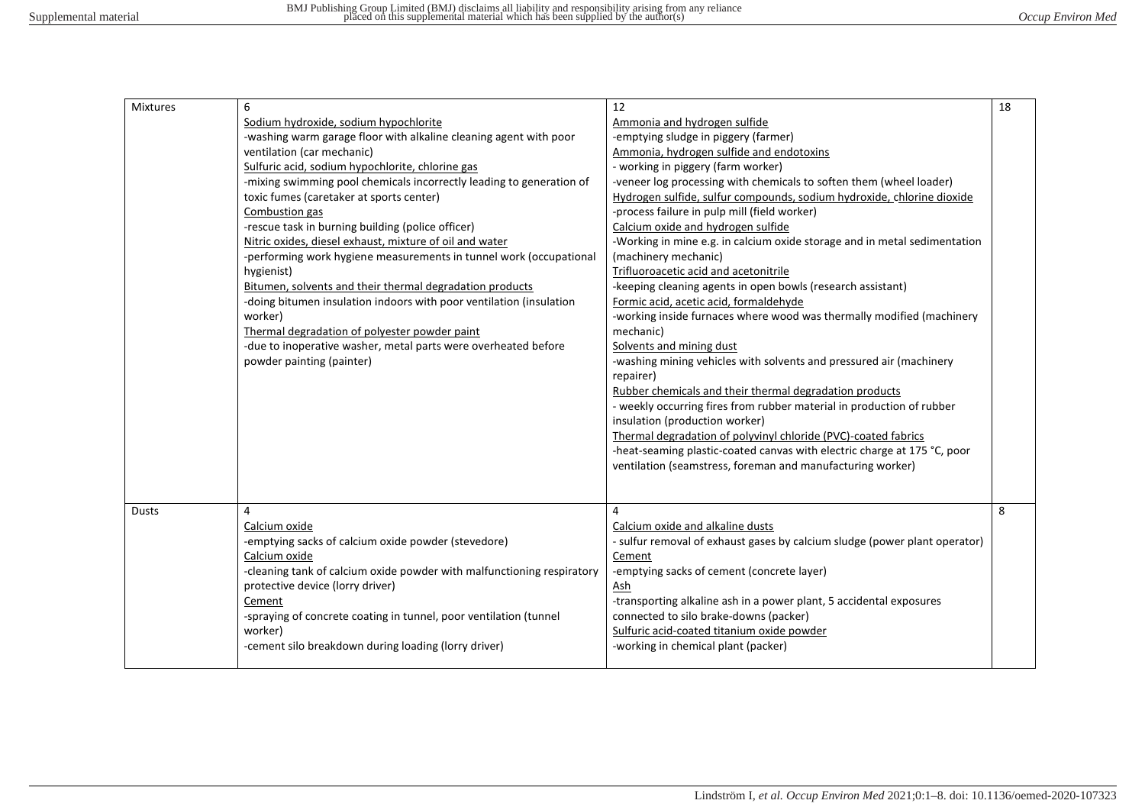| <b>Mixtures</b> | 6                                                                      | 12                                                                         | 18 |
|-----------------|------------------------------------------------------------------------|----------------------------------------------------------------------------|----|
|                 | Sodium hydroxide, sodium hypochlorite                                  | Ammonia and hydrogen sulfide                                               |    |
|                 | -washing warm garage floor with alkaline cleaning agent with poor      | -emptying sludge in piggery (farmer)                                       |    |
|                 | ventilation (car mechanic)                                             | Ammonia, hydrogen sulfide and endotoxins                                   |    |
|                 | Sulfuric acid, sodium hypochlorite, chlorine gas                       | - working in piggery (farm worker)                                         |    |
|                 | -mixing swimming pool chemicals incorrectly leading to generation of   | -veneer log processing with chemicals to soften them (wheel loader)        |    |
|                 | toxic fumes (caretaker at sports center)                               | Hydrogen sulfide, sulfur compounds, sodium hydroxide, chlorine dioxide     |    |
|                 | Combustion gas                                                         | -process failure in pulp mill (field worker)                               |    |
|                 | -rescue task in burning building (police officer)                      | Calcium oxide and hydrogen sulfide                                         |    |
|                 | Nitric oxides, diesel exhaust, mixture of oil and water                | -Working in mine e.g. in calcium oxide storage and in metal sedimentation  |    |
|                 | -performing work hygiene measurements in tunnel work (occupational     | (machinery mechanic)                                                       |    |
|                 | hygienist)                                                             | Trifluoroacetic acid and acetonitrile                                      |    |
|                 | Bitumen, solvents and their thermal degradation products               | -keeping cleaning agents in open bowls (research assistant)                |    |
|                 | -doing bitumen insulation indoors with poor ventilation (insulation    | Formic acid, acetic acid, formaldehyde                                     |    |
|                 | worker)                                                                | -working inside furnaces where wood was thermally modified (machinery      |    |
|                 | Thermal degradation of polyester powder paint                          | mechanic)                                                                  |    |
|                 | -due to inoperative washer, metal parts were overheated before         | Solvents and mining dust                                                   |    |
|                 | powder painting (painter)                                              | -washing mining vehicles with solvents and pressured air (machinery        |    |
|                 |                                                                        | repairer)                                                                  |    |
|                 |                                                                        | Rubber chemicals and their thermal degradation products                    |    |
|                 |                                                                        | - weekly occurring fires from rubber material in production of rubber      |    |
|                 |                                                                        | insulation (production worker)                                             |    |
|                 |                                                                        | Thermal degradation of polyvinyl chloride (PVC)-coated fabrics             |    |
|                 |                                                                        | -heat-seaming plastic-coated canvas with electric charge at 175 °C, poor   |    |
|                 |                                                                        | ventilation (seamstress, foreman and manufacturing worker)                 |    |
|                 |                                                                        |                                                                            |    |
|                 |                                                                        |                                                                            |    |
| <b>Dusts</b>    | 4                                                                      | 4                                                                          | 8  |
|                 | Calcium oxide                                                          | Calcium oxide and alkaline dusts                                           |    |
|                 | -emptying sacks of calcium oxide powder (stevedore)                    | - sulfur removal of exhaust gases by calcium sludge (power plant operator) |    |
|                 | Calcium oxide                                                          | Cement                                                                     |    |
|                 | -cleaning tank of calcium oxide powder with malfunctioning respiratory | -emptying sacks of cement (concrete layer)                                 |    |
|                 | protective device (lorry driver)                                       | <u>Ash</u>                                                                 |    |
|                 | Cement                                                                 | -transporting alkaline ash in a power plant, 5 accidental exposures        |    |
|                 | -spraying of concrete coating in tunnel, poor ventilation (tunnel      | connected to silo brake-downs (packer)                                     |    |
|                 | worker)                                                                | Sulfuric acid-coated titanium oxide powder                                 |    |
|                 | -cement silo breakdown during loading (lorry driver)                   | -working in chemical plant (packer)                                        |    |
|                 |                                                                        |                                                                            |    |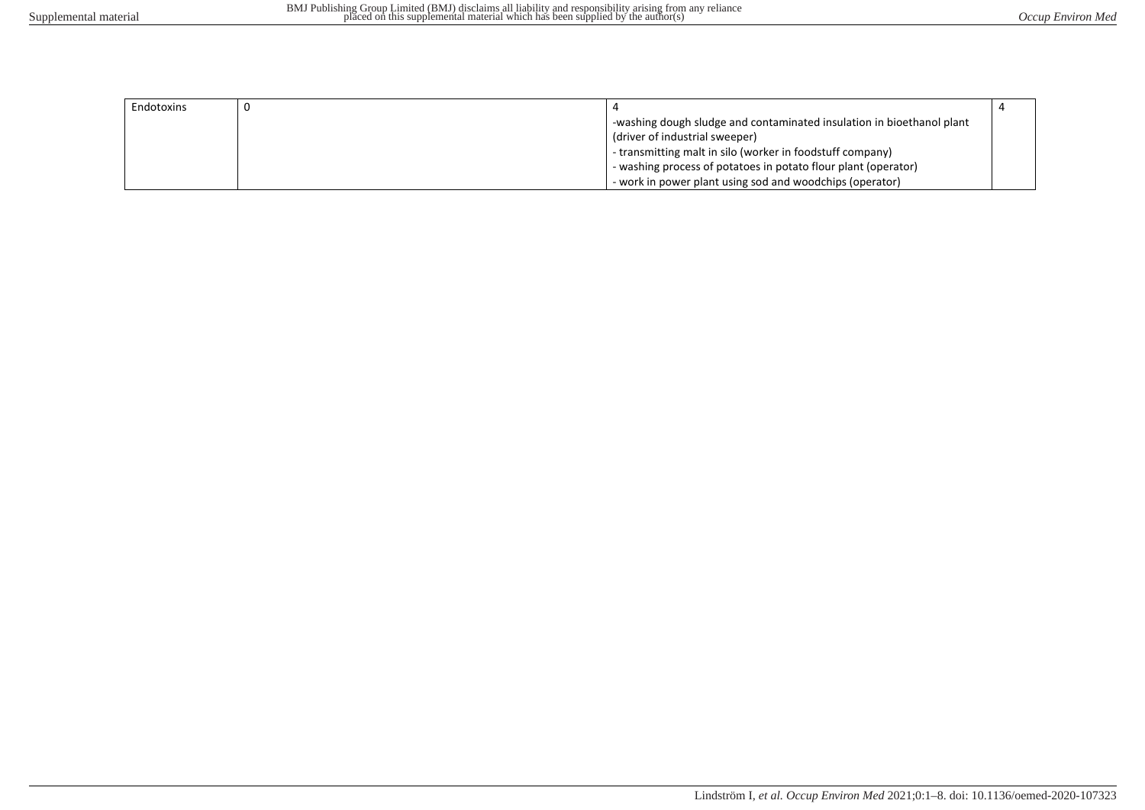| Endotoxins |                                                                       |  |
|------------|-----------------------------------------------------------------------|--|
|            | -washing dough sludge and contaminated insulation in bioethanol plant |  |
|            | (driver of industrial sweeper)                                        |  |
|            | - transmitting malt in silo (worker in foodstuff company)             |  |
|            | - washing process of potatoes in potato flour plant (operator)        |  |
|            | - work in power plant using sod and woodchips (operator)              |  |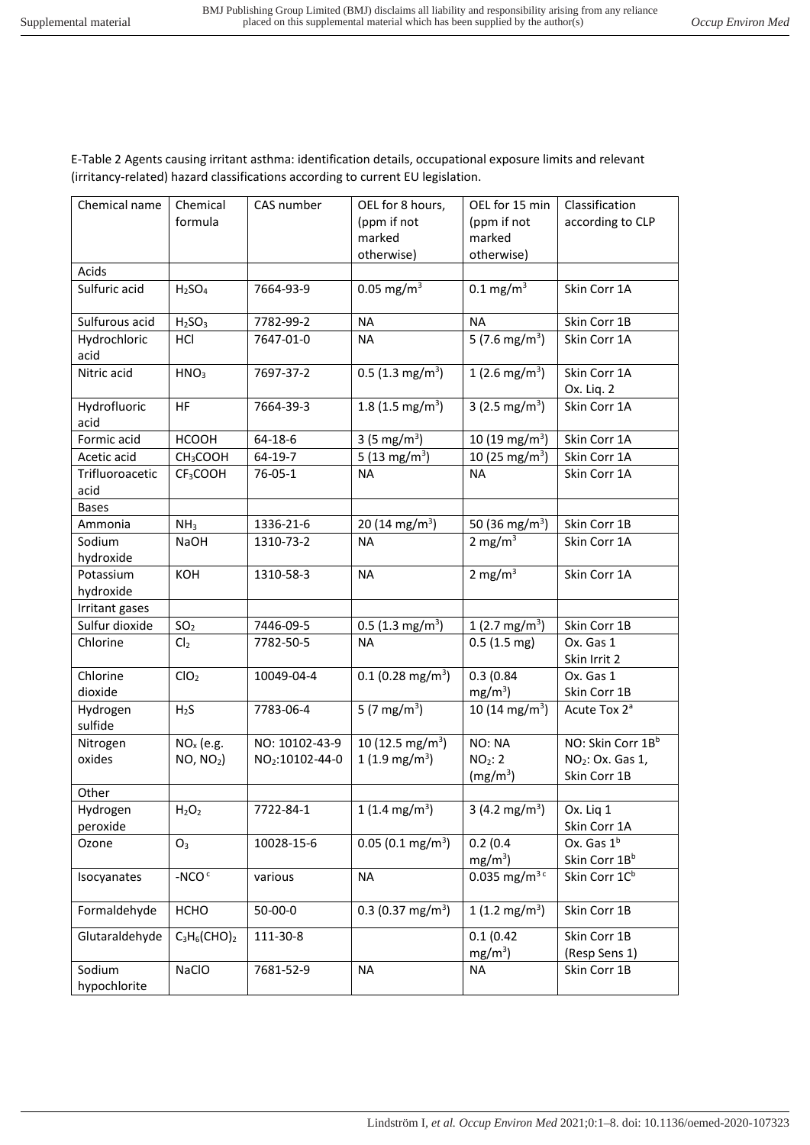E-Table 2 Agents causing irritant asthma: identification details, occupational exposure limits and relevant (irritancy-related) hazard classifications according to current EU legislation.

| Chemical name   | Chemical                       | CAS number                  | OEL for 8 hours,                | OEL for 15 min                | Classification               |
|-----------------|--------------------------------|-----------------------------|---------------------------------|-------------------------------|------------------------------|
|                 | formula                        |                             | (ppm if not                     | (ppm if not                   | according to CLP             |
|                 |                                |                             | marked                          | marked                        |                              |
|                 |                                |                             | otherwise)                      | otherwise)                    |                              |
| Acids           |                                |                             |                                 |                               |                              |
| Sulfuric acid   | H <sub>2</sub> SO <sub>4</sub> | 7664-93-9                   | $0.05$ mg/m <sup>3</sup>        | $0.1 \text{ mg/m}^3$          | Skin Corr 1A                 |
|                 |                                |                             |                                 |                               |                              |
| Sulfurous acid  | H <sub>2</sub> SO <sub>3</sub> | 7782-99-2                   | <b>NA</b>                       | <b>NA</b>                     | Skin Corr 1B                 |
| Hydrochloric    | HCI                            | 7647-01-0                   | <b>NA</b>                       | 5 $(7.6 \text{ mg/m}^3)$      | Skin Corr 1A                 |
| acid            |                                |                             |                                 |                               |                              |
| Nitric acid     | HNO <sub>3</sub>               | 7697-37-2                   | $0.5$ (1.3 mg/m <sup>3</sup> )  | $1(2.6 \text{ mg/m}^3)$       | Skin Corr 1A                 |
|                 |                                |                             |                                 |                               | Ox. Lig. 2                   |
| Hydrofluoric    | HF                             | 7664-39-3                   | 1.8 $(1.5 \text{ mg/m}^3)$      | 3 (2.5 mg/m <sup>3</sup> )    | Skin Corr 1A                 |
| acid            |                                |                             |                                 |                               |                              |
| Formic acid     | <b>HCOOH</b>                   | 64-18-6                     | 3 (5 mg/m <sup>3</sup> )        | 10 $(19 \text{ mg/m}^3)$      | Skin Corr 1A                 |
| Acetic acid     | CH <sub>3</sub> COOH           | 64-19-7                     | 5 $(13 \text{ mg/m}^3)$         | 10 $(25 \text{ mg/m}^3)$      | Skin Corr 1A                 |
| Trifluoroacetic | CF <sub>3</sub> COOH           | 76-05-1                     | <b>NA</b>                       | NA                            | Skin Corr 1A                 |
| acid            |                                |                             |                                 |                               |                              |
| <b>Bases</b>    |                                |                             |                                 |                               |                              |
| Ammonia         | NH <sub>3</sub>                | 1336-21-6                   | 20 (14 mg/m <sup>3</sup> )      | 50 $(36 \text{ mg/m}^3)$      | Skin Corr 1B                 |
| Sodium          | <b>NaOH</b>                    | 1310-73-2                   | <b>NA</b>                       | 2 mg/m $3$                    | Skin Corr 1A                 |
| hydroxide       |                                |                             |                                 |                               |                              |
| Potassium       | KOH                            | 1310-58-3                   | <b>NA</b>                       | 2 mg/m $3$                    | Skin Corr 1A                 |
| hydroxide       |                                |                             |                                 |                               |                              |
| Irritant gases  |                                |                             |                                 |                               |                              |
| Sulfur dioxide  | SO <sub>2</sub>                | 7446-09-5                   | $0.5$ (1.3 mg/m <sup>3</sup> )  | 1 (2.7 mg/m <sup>3</sup> )    | Skin Corr 1B                 |
| Chlorine        | Cl <sub>2</sub>                | 7782-50-5                   | <b>NA</b>                       | $0.5(1.5 \text{ mg})$         | Ox. Gas 1                    |
|                 |                                |                             |                                 |                               | Skin Irrit 2                 |
| Chlorine        | ClO <sub>2</sub>               | 10049-04-4                  | $0.1$ (0.28 mg/m <sup>3</sup> ) | 0.3(0.84)                     | Ox. Gas 1                    |
| dioxide         |                                |                             |                                 | $mg/m^3$ )                    | Skin Corr 1B                 |
| Hydrogen        | H <sub>2</sub> S               | 7783-06-4                   | 5 $(7 \text{ mg/m}^3)$          | 10 $(14 \text{ mg/m}^3)$      | Acute Tox 2 <sup>ª</sup>     |
| sulfide         |                                |                             |                                 |                               |                              |
| Nitrogen        | $NOx$ (e.g.                    | NO: 10102-43-9              | 10 $(12.5 \text{ mg/m}^3)$      | NO: NA                        | NO: Skin Corr 1Bb            |
| oxides          | $NO, NO2$ )                    | NO <sub>2</sub> :10102-44-0 | $1(1.9 \text{ mg/m}^3)$         | NO <sub>2</sub> : 2           | NO <sub>2</sub> : Ox. Gas 1, |
|                 |                                |                             |                                 | (mg/m <sup>3</sup> )          | Skin Corr 1B                 |
| Other           |                                |                             |                                 |                               |                              |
| Hydrogen        | $H_2O_2$                       | 7722-84-1                   | 1 (1.4 mg/m <sup>3</sup> )      | 3 (4.2 mg/m <sup>3</sup> )    | Ox. Liq 1                    |
| peroxide        |                                |                             |                                 |                               | Skin Corr 1A                 |
| Ozone           | O <sub>3</sub>                 | 10028-15-6                  | $0.05(0.1 \text{ mg/m}^3)$      | 0.2(0.4)                      | Ox. Gas 1 <sup>b</sup>       |
|                 |                                |                             |                                 | $mg/m3$ )                     | Skin Corr 1Bb                |
| Isocyanates     | $-NCOc$                        | various                     | <b>NA</b>                       | 0.035 mg/ $\overline{m^{3c}}$ | Skin Corr 1C <sup>b</sup>    |
|                 |                                |                             |                                 |                               |                              |
| Formaldehyde    | HCHO                           | 50-00-0                     | 0.3 (0.37 mg/m <sup>3</sup> )   | $1(1.2 \text{ mg/m}^3)$       | Skin Corr 1B                 |
| Glutaraldehyde  | $C_3H_6$ (CHO) <sub>2</sub>    | 111-30-8                    |                                 | 0.1(0.42)                     | Skin Corr 1B                 |
|                 |                                |                             |                                 | $mg/m^3$ )                    | (Resp Sens 1)                |
| Sodium          | NaClO                          | 7681-52-9                   | <b>NA</b>                       | <b>NA</b>                     | Skin Corr 1B                 |
| hypochlorite    |                                |                             |                                 |                               |                              |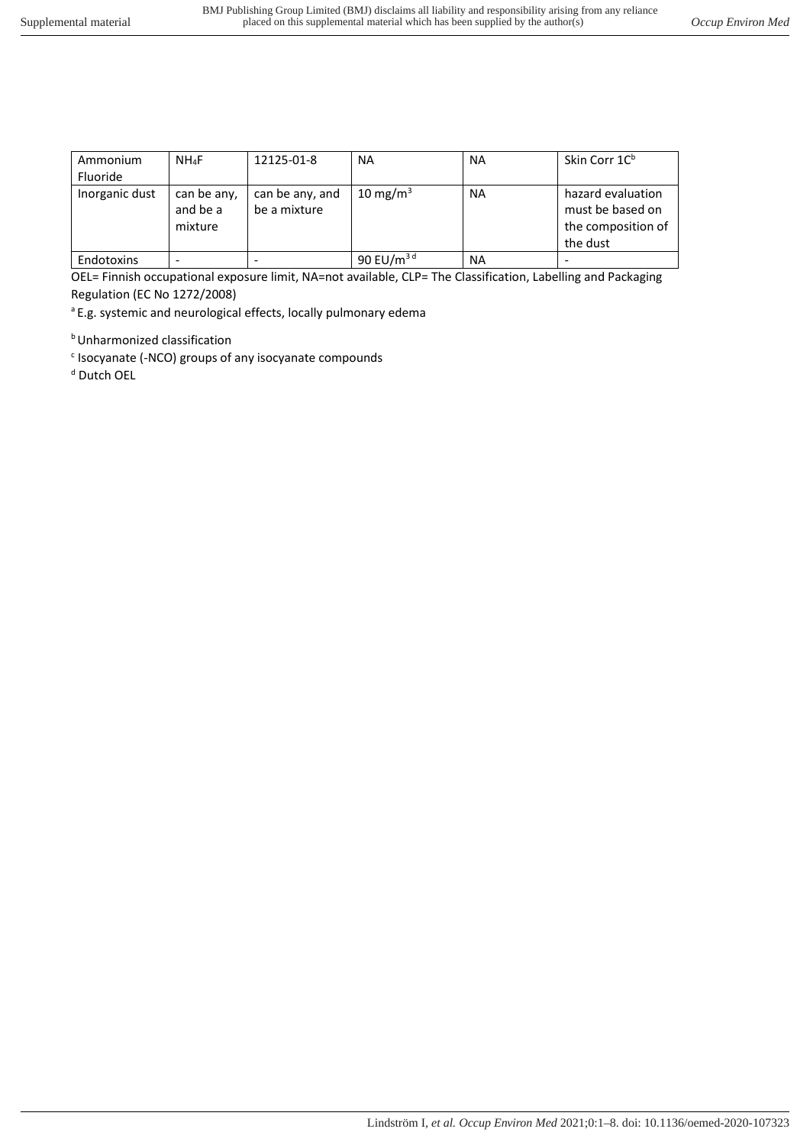| Ammonium       | $NH_4F$                            | 12125-01-8                      | <b>NA</b>       | <b>NA</b> | Skin Corr 1C <sup>b</sup>                                               |
|----------------|------------------------------------|---------------------------------|-----------------|-----------|-------------------------------------------------------------------------|
| Fluoride       |                                    |                                 |                 |           |                                                                         |
| Inorganic dust | can be any,<br>and be a<br>mixture | can be any, and<br>be a mixture | 10 mg/m $3$     | <b>NA</b> | hazard evaluation<br>must be based on<br>the composition of<br>the dust |
| Endotoxins     |                                    |                                 | 90 EU/ $m^{3d}$ | <b>NA</b> |                                                                         |

OEL= Finnish occupational exposure limit, NA=not available, CLP= The Classification, Labelling and Packaging Regulation (EC No 1272/2008)

<sup>a</sup> E.g. systemic and neurological effects, locally pulmonary edema

**b** Unharmonized classification

<sup>c</sup> Isocyanate (-NCO) groups of any isocyanate compounds

<sup>d</sup> Dutch OEL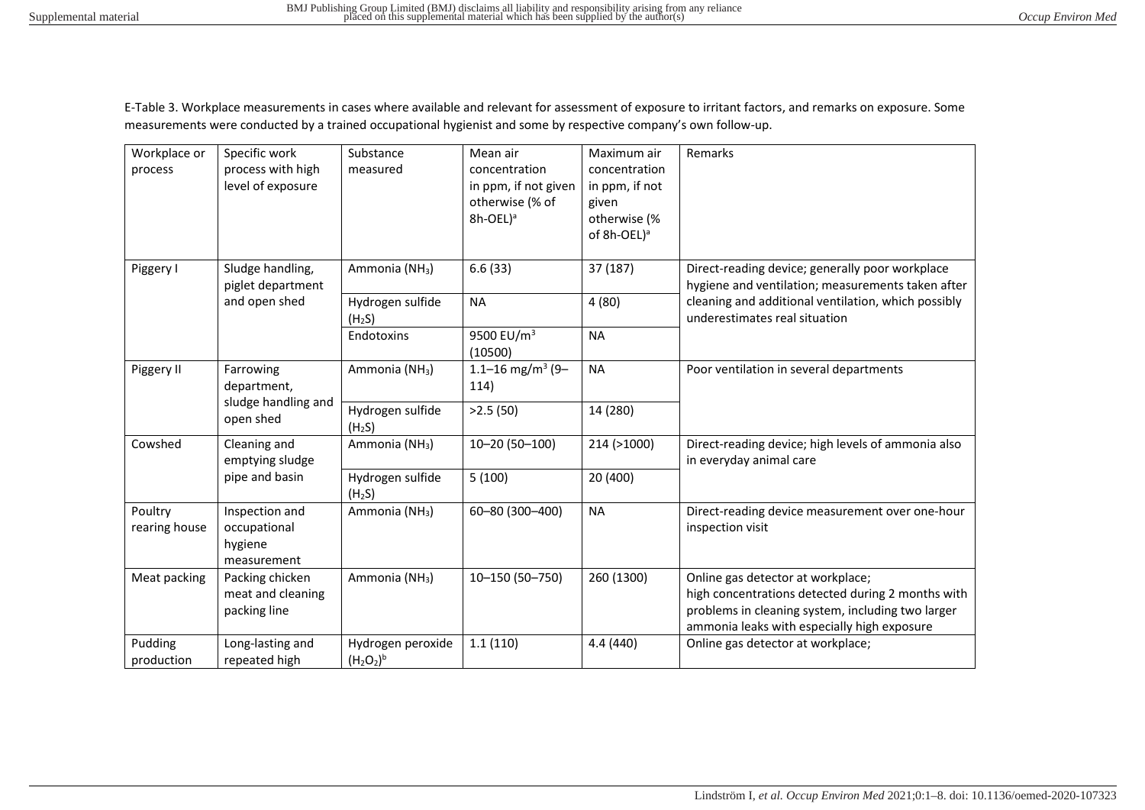E-Table 3. Workplace measurements in cases where available and relevant for assessment of exposure to irritant factors, and remarks on exposure. Some measurements were conducted by a trained occupational hygienist and some by respective company's own follow-up.

| Workplace or<br>process  | Specific work<br>process with high<br>level of exposure  | Substance<br>measured                  | Mean air<br>concentration<br>in ppm, if not given<br>otherwise (% of<br>$8h-OEL)^a$ | Maximum air<br>concentration<br>in ppm, if not<br>given<br>otherwise (%<br>of 8h-OEL) <sup>a</sup> | Remarks                                                                                                                                                                                    |
|--------------------------|----------------------------------------------------------|----------------------------------------|-------------------------------------------------------------------------------------|----------------------------------------------------------------------------------------------------|--------------------------------------------------------------------------------------------------------------------------------------------------------------------------------------------|
| Piggery I                | Sludge handling,<br>piglet department                    | Ammonia (NH <sub>3</sub> )             | 6.6(33)                                                                             | 37 (187)                                                                                           | Direct-reading device; generally poor workplace<br>hygiene and ventilation; measurements taken after                                                                                       |
|                          | and open shed                                            | Hydrogen sulfide<br>(H <sub>2</sub> S) | <b>NA</b>                                                                           | 4(80)                                                                                              | cleaning and additional ventilation, which possibly<br>underestimates real situation                                                                                                       |
|                          |                                                          | Endotoxins                             | 9500 EU/m <sup>3</sup><br>(10500)                                                   | <b>NA</b>                                                                                          |                                                                                                                                                                                            |
| Piggery II               | Farrowing<br>department,                                 | Ammonia (NH <sub>3</sub> )             | 1.1-16 mg/m <sup>3</sup> (9-<br>114)                                                | <b>NA</b>                                                                                          | Poor ventilation in several departments                                                                                                                                                    |
|                          | sludge handling and<br>open shed                         | Hydrogen sulfide<br>(H <sub>2</sub> S) | >2.5(50)                                                                            | 14 (280)                                                                                           |                                                                                                                                                                                            |
| Cowshed                  | Cleaning and<br>emptying sludge                          | Ammonia (NH <sub>3</sub> )             | 10-20 (50-100)                                                                      | 214 (>1000)                                                                                        | Direct-reading device; high levels of ammonia also<br>in everyday animal care                                                                                                              |
|                          | pipe and basin                                           | Hydrogen sulfide<br>(H <sub>2</sub> S) | 5(100)                                                                              | 20 (400)                                                                                           |                                                                                                                                                                                            |
| Poultry<br>rearing house | Inspection and<br>occupational<br>hygiene<br>measurement | Ammonia (NH <sub>3</sub> )             | 60-80 (300-400)                                                                     | <b>NA</b>                                                                                          | Direct-reading device measurement over one-hour<br>inspection visit                                                                                                                        |
| Meat packing             | Packing chicken<br>meat and cleaning<br>packing line     | Ammonia (NH <sub>3</sub> )             | 10-150 (50-750)                                                                     | 260 (1300)                                                                                         | Online gas detector at workplace;<br>high concentrations detected during 2 months with<br>problems in cleaning system, including two larger<br>ammonia leaks with especially high exposure |
| Pudding<br>production    | Long-lasting and<br>repeated high                        | Hydrogen peroxide<br>$(H_2O_2)^b$      | 1.1(110)                                                                            | 4.4 (440)                                                                                          | Online gas detector at workplace;                                                                                                                                                          |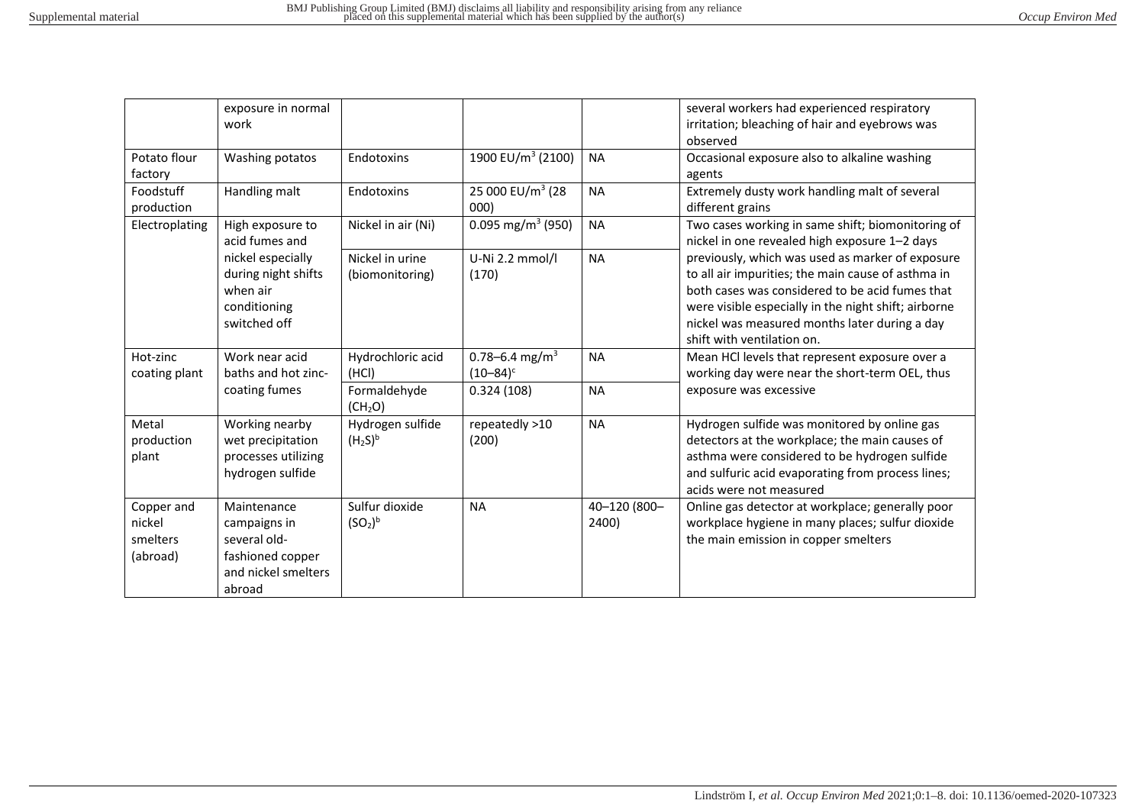|                                              | exposure in normal<br>work                                                                       |                                                     |                                                           |                        | several workers had experienced respiratory<br>irritation; bleaching of hair and eyebrows was<br>observed                                                                                                                                                                                        |
|----------------------------------------------|--------------------------------------------------------------------------------------------------|-----------------------------------------------------|-----------------------------------------------------------|------------------------|--------------------------------------------------------------------------------------------------------------------------------------------------------------------------------------------------------------------------------------------------------------------------------------------------|
| Potato flour<br>factory                      | Washing potatos                                                                                  | Endotoxins                                          | 1900 EU/m <sup>3</sup> (2100)                             | <b>NA</b>              | Occasional exposure also to alkaline washing<br>agents                                                                                                                                                                                                                                           |
| Foodstuff<br>production                      | Handling malt                                                                                    | Endotoxins                                          | 25 000 EU/m <sup>3</sup> (28<br>000)                      | <b>NA</b>              | Extremely dusty work handling malt of several<br>different grains                                                                                                                                                                                                                                |
| Electroplating                               | High exposure to<br>acid fumes and                                                               | Nickel in air (Ni)                                  | 0.095 mg/m <sup>3</sup> (950)                             | <b>NA</b>              | Two cases working in same shift; biomonitoring of<br>nickel in one revealed high exposure 1-2 days                                                                                                                                                                                               |
|                                              | nickel especially<br>during night shifts<br>when air<br>conditioning<br>switched off             | Nickel in urine<br>(biomonitoring)                  | U-Ni 2.2 mmol/l<br>(170)                                  | <b>NA</b>              | previously, which was used as marker of exposure<br>to all air impurities; the main cause of asthma in<br>both cases was considered to be acid fumes that<br>were visible especially in the night shift; airborne<br>nickel was measured months later during a day<br>shift with ventilation on. |
| Hot-zinc<br>coating plant                    | Work near acid<br>baths and hot zinc-<br>coating fumes                                           | Hydrochloric acid<br>(HCI)<br>Formaldehyde          | 0.78-6.4 mg/m <sup>3</sup><br>$(10 - 84)^c$<br>0.324(108) | <b>NA</b><br><b>NA</b> | Mean HCl levels that represent exposure over a<br>working day were near the short-term OEL, thus<br>exposure was excessive                                                                                                                                                                       |
|                                              |                                                                                                  | (CH <sub>2</sub> O)                                 |                                                           |                        |                                                                                                                                                                                                                                                                                                  |
| Metal<br>production<br>plant                 | Working nearby<br>wet precipitation<br>processes utilizing<br>hydrogen sulfide                   | Hydrogen sulfide<br>(H <sub>2</sub> S) <sup>b</sup> | repeatedly >10<br>(200)                                   | <b>NA</b>              | Hydrogen sulfide was monitored by online gas<br>detectors at the workplace; the main causes of<br>asthma were considered to be hydrogen sulfide<br>and sulfuric acid evaporating from process lines;<br>acids were not measured                                                                  |
| Copper and<br>nickel<br>smelters<br>(abroad) | Maintenance<br>campaigns in<br>several old-<br>fashioned copper<br>and nickel smelters<br>abroad | Sulfur dioxide<br>(SO <sub>2</sub> ) <sup>b</sup>   | <b>NA</b>                                                 | 40-120 (800-<br>2400)  | Online gas detector at workplace; generally poor<br>workplace hygiene in many places; sulfur dioxide<br>the main emission in copper smelters                                                                                                                                                     |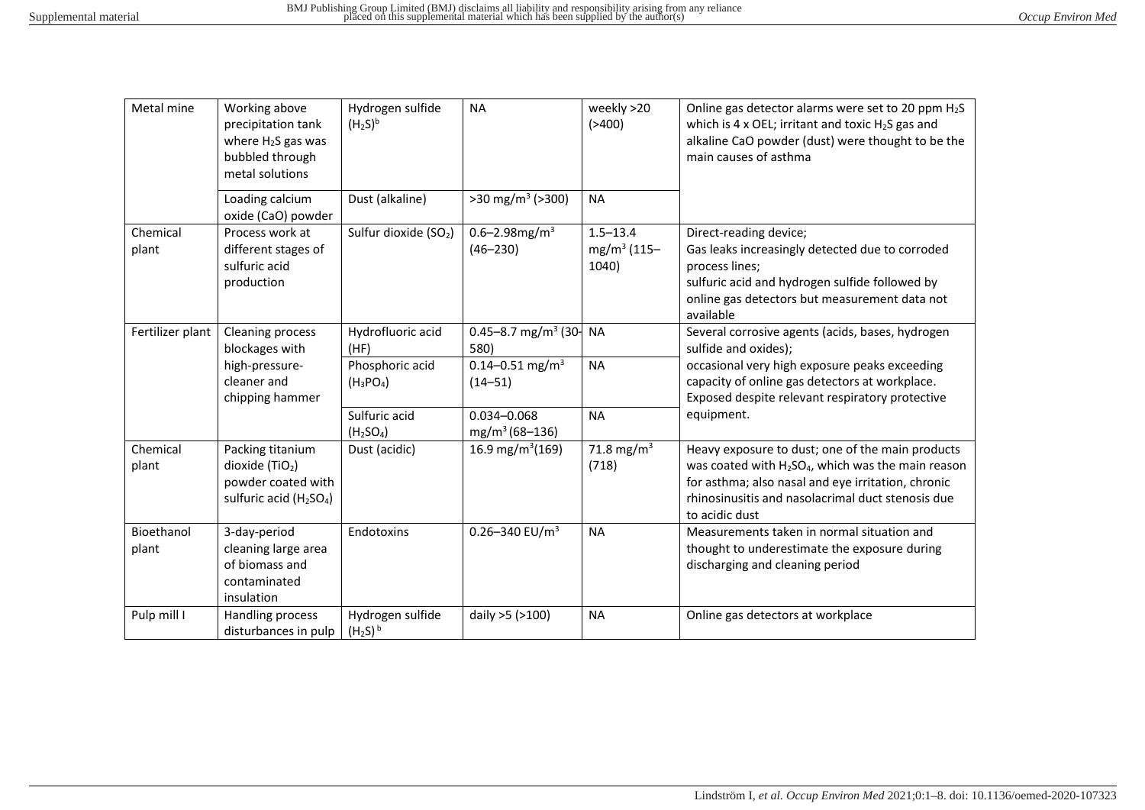| Metal mine          | Working above<br>precipitation tank<br>where $H_2S$ gas was<br>bubbled through<br>metal solutions             | Hydrogen sulfide<br>(H <sub>2</sub> S) <sup>b</sup> | <b>NA</b>                                                                 | weekly >20<br>( > 400)                           | Online gas detector alarms were set to 20 ppm H <sub>2</sub> S<br>which is 4 x OEL; irritant and toxic $H_2S$ gas and<br>alkaline CaO powder (dust) were thought to be the<br>main causes of asthma                                    |
|---------------------|---------------------------------------------------------------------------------------------------------------|-----------------------------------------------------|---------------------------------------------------------------------------|--------------------------------------------------|----------------------------------------------------------------------------------------------------------------------------------------------------------------------------------------------------------------------------------------|
|                     | Loading calcium<br>oxide (CaO) powder                                                                         | Dust (alkaline)                                     | $>30$ mg/m <sup>3</sup> ( $>300$ )                                        | <b>NA</b>                                        |                                                                                                                                                                                                                                        |
| Chemical<br>plant   | Process work at<br>different stages of<br>sulfuric acid<br>production                                         | Sulfur dioxide (SO <sub>2</sub> )                   | 0.6-2.98mg/m <sup>3</sup><br>$(46 - 230)$                                 | $1.5 - 13.4$<br>mg/m <sup>3</sup> (115-<br>1040) | Direct-reading device;<br>Gas leaks increasingly detected due to corroded<br>process lines;<br>sulfuric acid and hydrogen sulfide followed by<br>online gas detectors but measurement data not<br>available                            |
| Fertilizer plant    | Cleaning process<br>blockages with<br>high-pressure-                                                          | Hydrofluoric acid<br>(HF)<br>Phosphoric acid        | 0.45-8.7 mg/m <sup>3</sup> (30- NA<br>580)<br>0.14-0.51 mg/m <sup>3</sup> | <b>NA</b>                                        | Several corrosive agents (acids, bases, hydrogen<br>sulfide and oxides);<br>occasional very high exposure peaks exceeding                                                                                                              |
|                     | cleaner and<br>chipping hammer                                                                                | $(H_3PO_4)$                                         | $(14 - 51)$                                                               |                                                  | capacity of online gas detectors at workplace.<br>Exposed despite relevant respiratory protective                                                                                                                                      |
|                     |                                                                                                               | Sulfuric acid<br>(H <sub>2</sub> SO <sub>4</sub> )  | 0.034-0.068<br>$mg/m^3(68-136)$                                           | <b>NA</b>                                        | equipment.                                                                                                                                                                                                                             |
| Chemical<br>plant   | Packing titanium<br>dioxide $(TiO2)$<br>powder coated with<br>sulfuric acid (H <sub>2</sub> SO <sub>4</sub> ) | Dust (acidic)                                       | 16.9 mg/m <sup>3</sup> (169)                                              | 71.8 mg/m <sup>3</sup><br>(718)                  | Heavy exposure to dust; one of the main products<br>was coated with $H_2SO_4$ , which was the main reason<br>for asthma; also nasal and eye irritation, chronic<br>rhinosinusitis and nasolacrimal duct stenosis due<br>to acidic dust |
| Bioethanol<br>plant | 3-day-period<br>cleaning large area<br>of biomass and<br>contaminated<br>insulation                           | Endotoxins                                          | 0.26-340 $EU/m3$                                                          | <b>NA</b>                                        | Measurements taken in normal situation and<br>thought to underestimate the exposure during<br>discharging and cleaning period                                                                                                          |
| Pulp mill I         | Handling process<br>disturbances in pulp                                                                      | Hydrogen sulfide<br>$(H_2S)^b$                      | daily >5 (>100)                                                           | <b>NA</b>                                        | Online gas detectors at workplace                                                                                                                                                                                                      |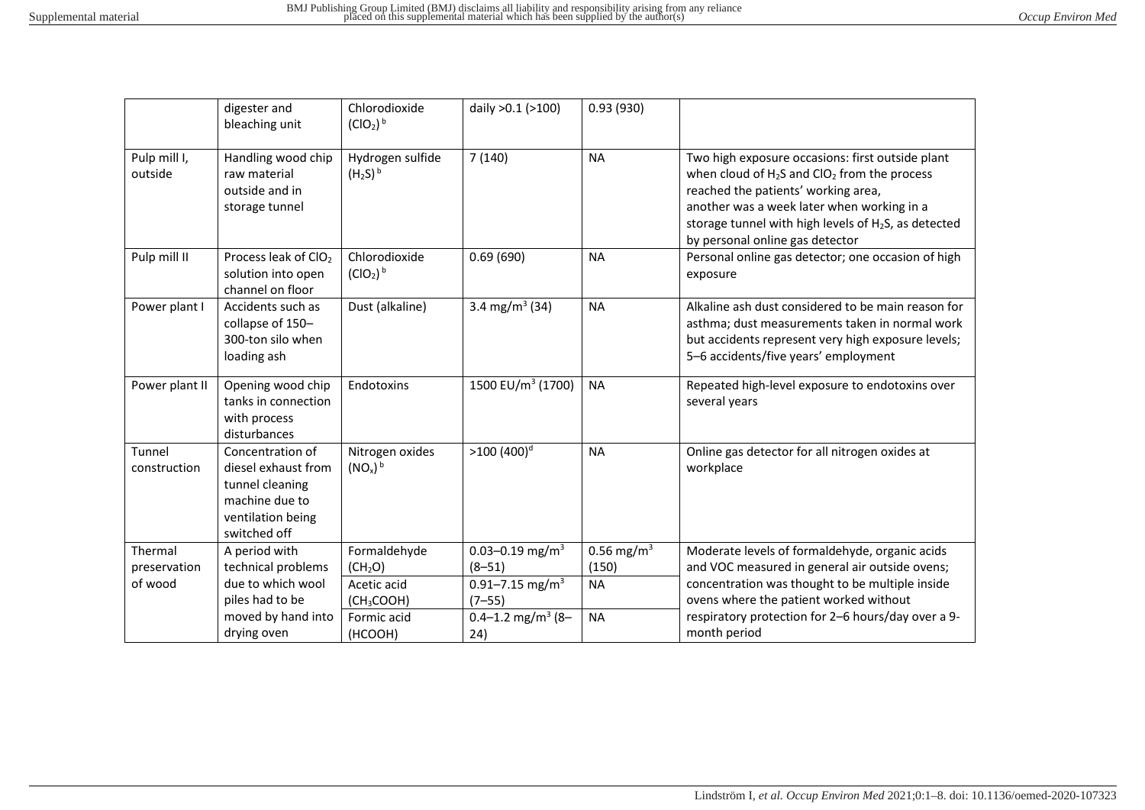|                         | digester and<br>bleaching unit                                                                                    | Chlorodioxide<br>(ClO <sub>2</sub> ) <sup>b</sup> | daily >0.1 (>100)                    | 0.93(930)              |                                                                                                                                                                                                                                                                                                   |
|-------------------------|-------------------------------------------------------------------------------------------------------------------|---------------------------------------------------|--------------------------------------|------------------------|---------------------------------------------------------------------------------------------------------------------------------------------------------------------------------------------------------------------------------------------------------------------------------------------------|
| Pulp mill I,<br>outside | Handling wood chip<br>raw material<br>outside and in<br>storage tunnel                                            | Hydrogen sulfide<br>$(H_2S)^b$                    | 7(140)                               | <b>NA</b>              | Two high exposure occasions: first outside plant<br>when cloud of $H_2S$ and $ClO_2$ from the process<br>reached the patients' working area,<br>another was a week later when working in a<br>storage tunnel with high levels of H <sub>2</sub> S, as detected<br>by personal online gas detector |
| Pulp mill II            | Process leak of ClO <sub>2</sub><br>solution into open<br>channel on floor                                        | Chlorodioxide<br>(ClO <sub>2</sub> ) <sup>b</sup> | 0.69(690)                            | <b>NA</b>              | Personal online gas detector; one occasion of high<br>exposure                                                                                                                                                                                                                                    |
| Power plant I           | Accidents such as<br>collapse of 150-<br>300-ton silo when<br>loading ash                                         | Dust (alkaline)                                   | 3.4 mg/m <sup>3</sup> (34)           | <b>NA</b>              | Alkaline ash dust considered to be main reason for<br>asthma; dust measurements taken in normal work<br>but accidents represent very high exposure levels;<br>5-6 accidents/five years' employment                                                                                                |
| Power plant II          | Opening wood chip<br>tanks in connection<br>with process<br>disturbances                                          | Endotoxins                                        | 1500 EU/m <sup>3</sup> (1700)        | <b>NA</b>              | Repeated high-level exposure to endotoxins over<br>several years                                                                                                                                                                                                                                  |
| Tunnel<br>construction  | Concentration of<br>diesel exhaust from<br>tunnel cleaning<br>machine due to<br>ventilation being<br>switched off | Nitrogen oxides<br>$(NO_x)^b$                     | $>100(400)^d$                        | <b>NA</b>              | Online gas detector for all nitrogen oxides at<br>workplace                                                                                                                                                                                                                                       |
| Thermal                 | A period with                                                                                                     | Formaldehyde                                      | 0.03-0.19 mg/m <sup>3</sup>          | 0.56 mg/m <sup>3</sup> | Moderate levels of formaldehyde, organic acids                                                                                                                                                                                                                                                    |
| preservation            | technical problems                                                                                                | (CH <sub>2</sub> O)                               | $(8 - 51)$                           | (150)                  | and VOC measured in general air outside ovens;                                                                                                                                                                                                                                                    |
| of wood                 | due to which wool                                                                                                 | Acetic acid                                       | 0.91-7.15 mg/m <sup>3</sup>          | <b>NA</b>              | concentration was thought to be multiple inside                                                                                                                                                                                                                                                   |
|                         | piles had to be                                                                                                   | (CH <sub>3</sub> COOH)                            | $(7 - 55)$                           |                        | ovens where the patient worked without                                                                                                                                                                                                                                                            |
|                         | moved by hand into<br>drying oven                                                                                 | Formic acid<br>(HCOOH)                            | 0.4-1.2 mg/m <sup>3</sup> (8-<br>24) | <b>NA</b>              | respiratory protection for 2-6 hours/day over a 9-<br>month period                                                                                                                                                                                                                                |
|                         |                                                                                                                   |                                                   |                                      |                        |                                                                                                                                                                                                                                                                                                   |